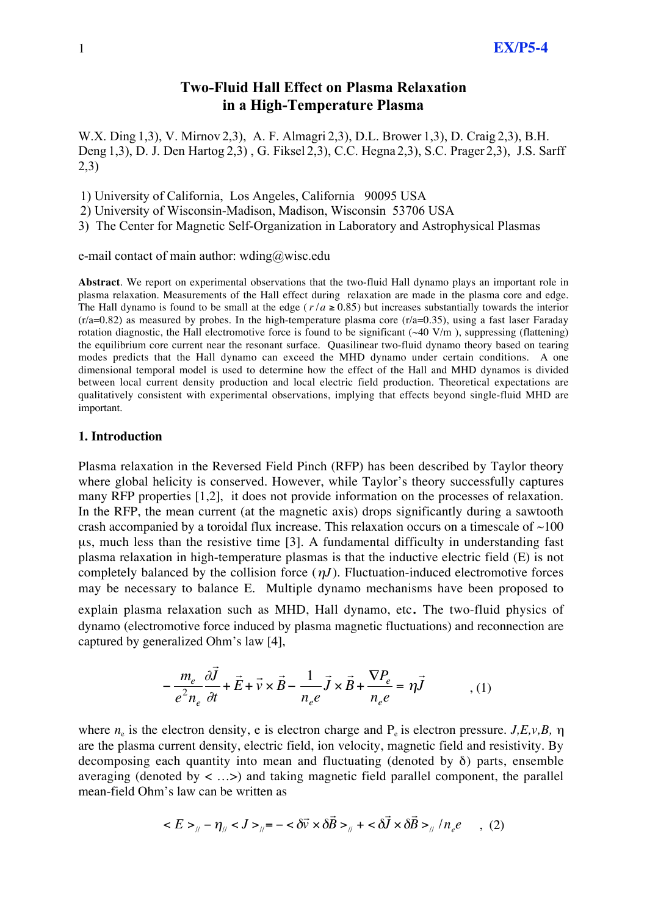# Two-Fluid Hall Effect on Plasma Relaxation in a High-Temperature Plasma

W.X. Ding 1,3), V. Mirnov 2,3), A. F. Almagri 2,3), D.L. Brower 1,3), D. Craig 2,3), B.H. Deng 1,3), D. J. Den Hartog 2,3) , G. Fiksel 2,3), C.C. Hegna 2,3), S.C. Prager 2,3), J.S. Sarff 2,3)

1) University of California, Los Angeles, California 90095 USA

2) University of Wisconsin-Madison, Madison, Wisconsin 53706 USA

3) The Center for Magnetic Self-Organization in Laboratory and Astrophysical Plasmas

e-mail contact of main author: wding@wisc.edu

**Abstract**. We report on experimental observations that the two-fluid Hall dynamo plays an important role in plasma relaxation. Measurements of the Hall effect during relaxation are made in the plasma core and edge. The Hall dynamo is found to be small at the edge ( $r/a \ge 0.85$ ) but increases substantially towards the interior modes predicts that the Hall dynamo can exceed the MHD dynamo under certain conditions. A one  $(r/a=0.82)$  as measured by probes. In the high-temperature plasma core  $(r/a=0.35)$ , using a fast laser Faraday rotation diagnostic, the Hall electromotive force is found to be significant  $(\sim 40 \text{ V/m})$ , suppressing (flattening) the equilibrium core current near the resonant surface. Quasilinear two-fluid dynamo theory based on tearing dimensional temporal model is used to determine how the effect of the Hall and MHD dynamos is divided between local current density production and local electric field production. Theoretical expectations are qualitatively consistent with experimental observations, implying that effects beyond single-fluid MHD are important.

#### **1. Introduction**

Plasma relaxation in the Reversed Field Pinch (RFP) has been described by Taylor theory where global helicity is conserved. However, while Taylor's theory successfully captures many RFP properties [1,2], it does not provide information on the processes of relaxation. In the RFP, the mean current (at the magnetic axis) drops significantly during a sawtooth crash accompanied by a toroidal flux increase. This relaxation occurs on a timescale of  $\sim$ 100 µs, much less than the resistive time [3]. A fundamental difficulty in understanding fast plasma relaxation in high-temperature plasmas is that the inductive electric field (E) is not completely balanced by the collision force  $(\eta J)$ . Fluctuation-induced electromotive forces ! dynamo (electromotive force induced by plasma magnetic fluctuations) and reconnection are may be necessary to balance E. Multiple dynamo mechanisms have been proposed to explain plasma relaxation such as MHD, Hall dynamo, etc*.* The two-fluid physics of captured by generalized Ohm's law [4],

$$
-\frac{m_e}{e^2 n_e} \frac{\partial \vec{J}}{\partial t} + \vec{E} + \vec{v} \times \vec{B} - \frac{1}{n_e e} \vec{J} \times \vec{B} + \frac{\nabla P_e}{n_e e} = \eta \vec{J}
$$
 (1)

decomposing each quantity into mean and fluctuating (denoted by  $\delta$ ) parts, ensemble where  $n_e$  is the electron density, e is electron charge and  $P_e$  is electron pressure. *J,E,v,B,*  $\eta$ are the plasma current density, electric field, ion velocity, magnetic field and resistivity. By averaging (denoted by  $\langle \dots \rangle$ ) and taking magnetic field parallel component, the parallel mean-field Ohm's law can be written as

$$
\langle E \rangle_{\parallel} - \eta_{\parallel} \langle J \rangle_{\parallel} = -\langle \delta \vec{v} \times \delta \vec{B} \rangle_{\parallel} + \langle \delta \vec{J} \times \delta \vec{B} \rangle_{\parallel} / n_e e \quad , \tag{2}
$$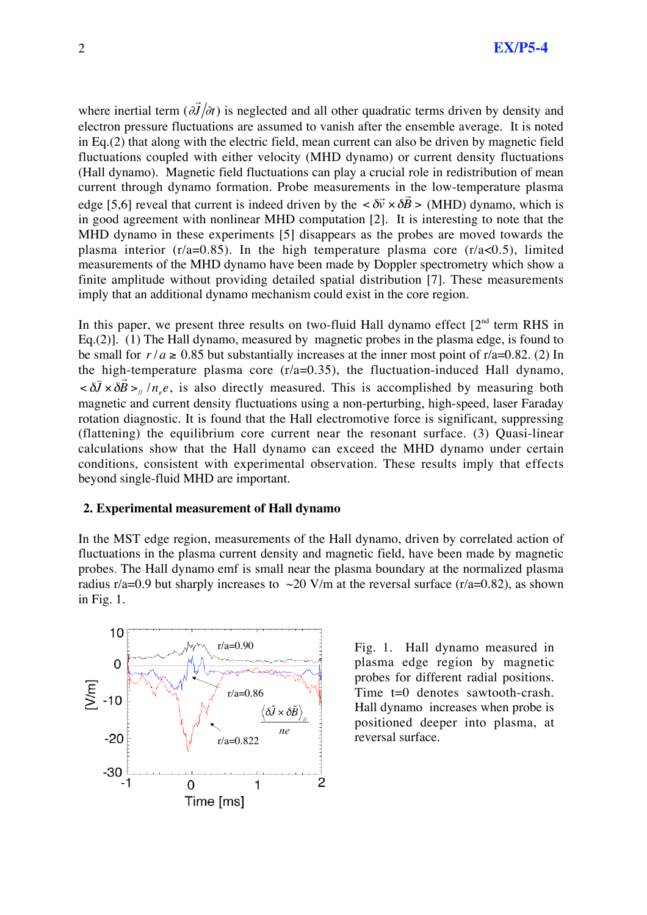where inertial term  $\left(\partial \vec{J}\right)$ (Hall dynamo). Magnetic field fluctuations can play a crucial role in redistribution of mean  $J/\partial t$ ) is neglected and all other quadratic terms driven by density and electron pressure fluctuations are assumed to vanish after the ensemble average. It is noted in Eq.(2) that along with the electric field, mean current can also be driven by magnetic field fluctuations coupled with either velocity (MHD dynamo) or current density fluctuations current through dynamo formation. Probe measurements in the low-temperature plasma edge [5,6] reveal that current is indeed driven by the  $\langle \delta \vec{v} \times \delta \rangle$ measurements of the MHD dynamo have been made by Doppler spectrometry which show a  $\vec{r}$ *B* > (MHD) dynamo, which is in good agreement with nonlinear MHD computation [2]. It is interesting to note that the MHD dynamo in these experiments [5] disappears as the probes are moved towards the plasma interior ( $r/a=0.85$ ). In the high temperature plasma core ( $r/a<0.5$ ), limited finite amplitude without providing detailed spatial distribution [7]. These measurements imply that an additional dynamo mechanism could exist in the core region.

In this paper, we present three results on two-fluid Hall dynamo effect  $[2<sup>nd</sup>$  term RHS in Eq.(2)]. (1) The Hall dynamo, measured by magnetic probes in the plasma edge, is found to be small for  $r/a \ge 0.85$  but substantially increases at the inner most point of r/a=0.82. (2) In ıg. the high-temperature plasma core  $(r/a=0.35)$ , the fluctuation-induced Hall dynamo, ľ  $< \delta$  $\overline{\overline{J}} \times \delta$ ์<br>กี  $B >_{\text{N}} / n_e e$ , is also directly measured. This is accomplished by measuring both magnetic and current density fluctuations using a non-perturbing, high-speed, laser Faraday rotation diagnostic. It is found that the Hall electromotive force is significant, suppressing (flattening) the equilibrium core current near the resonant surface. (3) Quasi-linear calculations show that the Hall dynamo can exceed the MHD dynamo under certain conditions, consistent with experimental observation. These results imply that effects beyond single-fluid MHD are important.

### **2. Experimental measurement of Hall dynamo**

In the MST edge region, measurements of the Hall dynamo, driven by correlated action of fluctuations in the plasma current density and magnetic field, have been made by magnetic probes. The Hall dynamo emf is small near the plasma boundary at the normalized plasma radius r/a=0.9 but sharply increases to  $\sim$ 20 V/m at the reversal surface (r/a=0.82), as shown in Fig. 1.



Fig. 1. Hall dynamo measured in plasma edge region by magnetic probes for different radial positions. Time t=0 denotes sawtooth-crash. Hall dynamo increases when probe is positioned deeper into plasma, at reversal surface.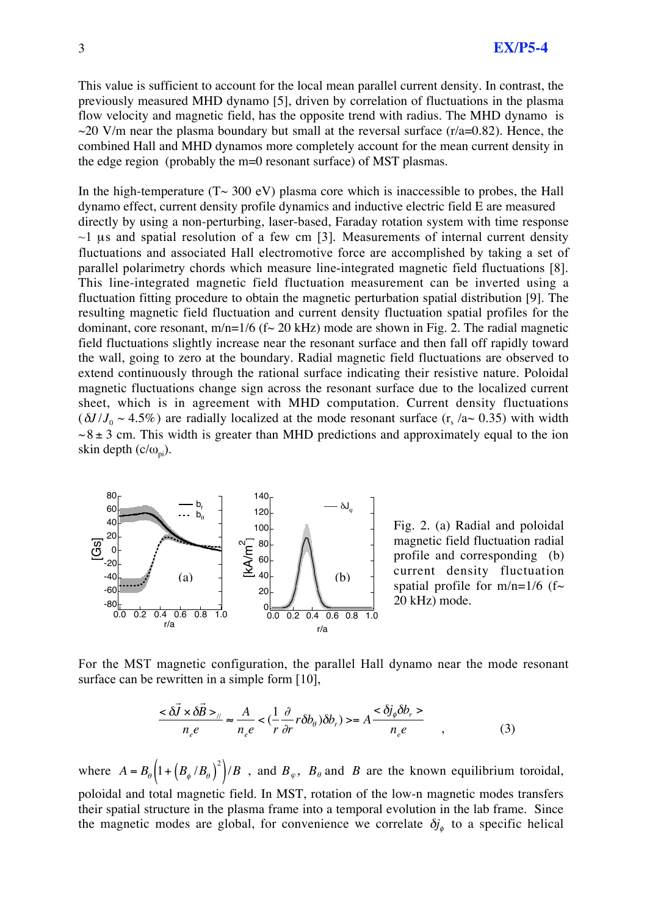This value is sufficient to account for the local mean parallel current density. In contrast, the previously measured MHD dynamo [5], driven by correlation of fluctuations in the plasma flow velocity and magnetic field, has the opposite trend with radius. The MHD dynamo is  $\sim$ 20 V/m near the plasma boundary but small at the reversal surface (r/a=0.82). Hence, the combined Hall and MHD dynamos more completely account for the mean current density in the edge region (probably the m=0 resonant surface) of MST plasmas.

In the high-temperature  $(T \sim 300 \text{ eV})$  plasma core which is inaccessible to probes, the Hall dynamo effect, current density profile dynamics and inductive electric field E are measured directly by using a non-perturbing, laser-based, Faraday rotation system with time response  $\sim$ 1 µs and spatial resolution of a few cm [3]. Measurements of internal current density fluctuations and associated Hall electromotive force are accomplished by taking a set of parallel polarimetry chords which measure line-integrated magnetic field fluctuations [8]. This line-integrated magnetic field fluctuation measurement can be inverted using a fluctuation fitting procedure to obtain the magnetic perturbation spatial distribution [9]. The resulting magnetic field fluctuation and current density fluctuation spatial profiles for the dominant, core resonant,  $m/n=1/6$  (f $\sim$  20 kHz) mode are shown in Fig. 2. The radial magnetic field fluctuations slightly increase near the resonant surface and then fall off rapidly toward the wall, going to zero at the boundary. Radial magnetic field fluctuations are observed to extend continuously through the rational surface indicating their resistive nature. Poloidal magnetic fluctuations change sign across the resonant surface due to the localized current sheet, which is in agreement with MHD computation. Current density fluctuations  $(\delta J / J_0 \sim 4.5\%)$  are radially localized at the mode resonant surface (r<sub>s</sub> /a $\sim 0.35$ ) with width  $\sim$ 8  $\pm$  3 cm. This width is greater than MHD predictions and approximately equal to the ion skin depth  $(c/\omega_{\rm ni})$ .



Fig. 2. (a) Radial and poloidal magnetic field fluctuation radial profile and corresponding (b) current density fluctuation spatial profile for  $m/n=1/6$  (f~ 20 kHz) mode.

For the MST magnetic configuration, the parallel Hall dynamo near the mode resonant surface can be rewritten in a simple form [10],

$$
\frac{<\delta\vec{J}\times\delta\vec{B}>_{\parallel}}{n_{e}e}\approx\frac{A}{n_{e}e}<\left(\frac{1}{r}\frac{\partial}{\partial r}r\delta b_{\theta}\right)\delta b_{r}\right>=A\frac{<\delta j_{\phi}\delta b_{r}>}{n_{e}e}\qquad\qquad(3)
$$

l, their spatial structure in the plasma frame into a temporal evolution in the lab frame. Since where  $A = B_{\theta} \left( 1 + \left( B_{\phi} / B_{\theta} \right)^2 \right) / B$ , and  $B_{\varphi}$ ,  $B_{\theta}$  and *B* are the known equilibrium toroidal, poloidal and total magnetic field. In MST, rotation of the low-n magnetic modes transfers the magnetic modes are global, for convenience we correlate  $\delta j_{\phi}$  to a specific helical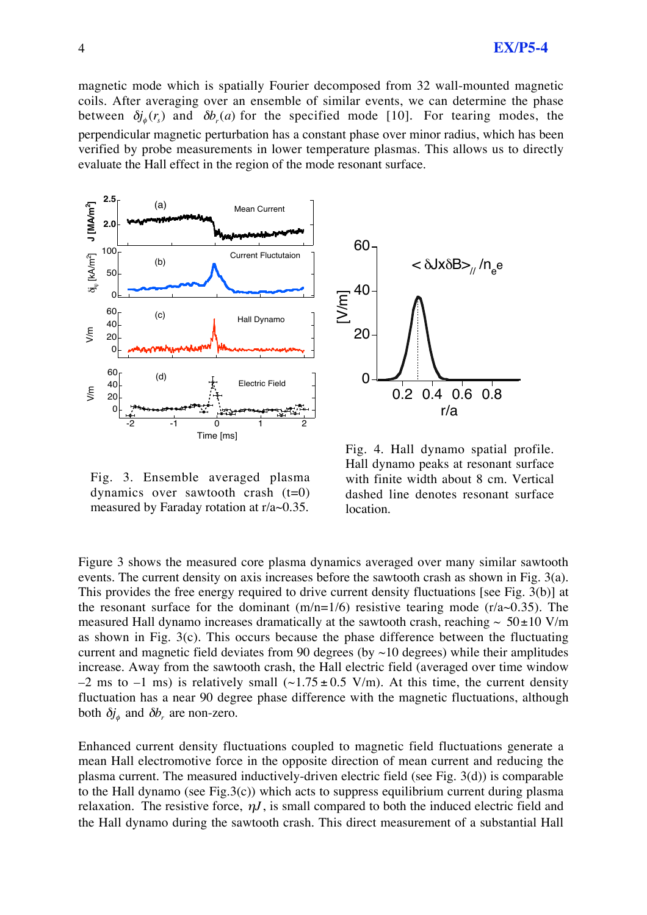magnetic mode which is spatially Fourier decomposed from 32 wall-mounted magnetic coils. After averaging over an ensemble of similar events, we can determine the phase between  $\delta j_{\phi}(r_s)$  and  $\delta b_r(a)$  for the specified mode [10]. For tearing modes, the ! evaluate the Hall effect in the region of the mode resonant surface. perpendicular magnetic perturbation has a constant phase over minor radius, which has been verified by probe measurements in lower temperature plasmas. This allows us to directly



60 40 20  $\overline{0}$  [V/m] 0.2 0.4 0.6 0.8 r/a < δJxδB><sub>//</sub> /n<sub>e</sub>e

Fig. 3. Ensemble averaged plasma dynamics over sawtooth crash  $(t=0)$ measured by Faraday rotation at r/a~0.35.

Fig. 4. Hall dynamo spatial profile. Hall dynamo peaks at resonant surface with finite width about 8 cm. Vertical dashed line denotes resonant surface location.

Figure 3 shows the measured core plasma dynamics averaged over many similar sawtooth events. The current density on axis increases before the sawtooth crash as shown in Fig. 3(a). This provides the free energy required to drive current density fluctuations [see Fig. 3(b)] at the resonant surface for the dominant  $(m/n=1/6)$  resistive tearing mode  $(r/a~0.35)$ . The measured Hall dynamo increases dramatically at the sawtooth crash, reaching  $\sim 50{\pm}10$  V/m  $-2$  ms to  $-1$  ms) is relatively small  $(\sim 1.75 \pm 0.5 \text{ V/m})$ . At this time, the current density as shown in Fig. 3(c). This occurs because the phase difference between the fluctuating current and magnetic field deviates from 90 degrees (by  $\sim$ 10 degrees) while their amplitudes increase. Away from the sawtooth crash, the Hall electric field (averaged over time window fluctuation has a near 90 degree phase difference with the magnetic fluctuations, although both  $\delta j_{\phi}$  and  $\delta b_{r}$  are non-zero.

!<br>! ! plasma current. The measured inductively-driven electric field (see Fig. 3(d)) is comparable Enhanced current density fluctuations coupled to magnetic field fluctuations generate a mean Hall electromotive force in the opposite direction of mean current and reducing the to the Hall dynamo (see Fig.3(c)) which acts to suppress equilibrium current during plasma relaxation. The resistive force,  $\eta J$ , is small compared to both the induced electric field and the Hall dynamo during the sawtooth crash. This direct measurement of a substantial Hall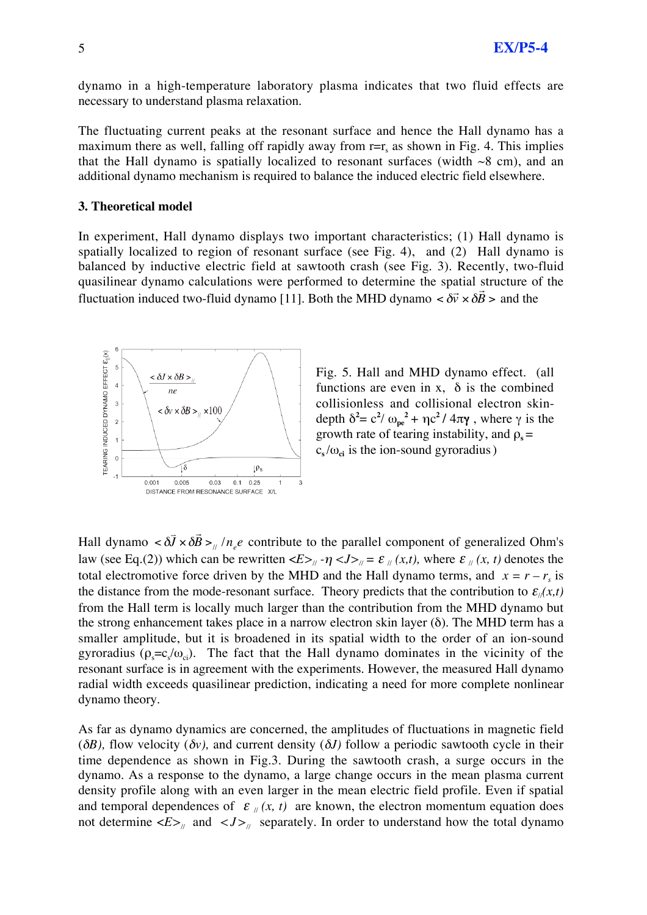dynamo in a high-temperature laboratory plasma indicates that two fluid effects are necessary to understand plasma relaxation.

The fluctuating current peaks at the resonant surface and hence the Hall dynamo has a maximum there as well, falling off rapidly away from  $r=r_s$  as shown in Fig. 4. This implies that the Hall dynamo is spatially localized to resonant surfaces (width  $\sim8$  cm), and an additional dynamo mechanism is required to balance the induced electric field elsewhere.

#### **3. Theoretical model**

In experiment, Hall dynamo displays two important characteristics; (1) Hall dynamo is spatially localized to region of resonant surface (see Fig. 4), and (2) Hall dynamo is balanced by inductive electric field at sawtooth crash (see Fig. 3). Recently, two-fluid quasilinear dynamo calculations were performed to determine the spatial structure of the fluctuation induced two-fluid dynamo [11]. Both the MHD dynamo  $\langle \delta \vec{v} \times \delta \rangle$ งเ<br>กี  $B >$  and the



Fig. 5. Hall and MHD dynamo effect. (all functions are even in x,  $\delta$  is the combined collisionless and collisional electron skindepth  $\delta^2 = c^2 / \omega_{pe}^2 + \eta c^2 / 4\pi \gamma$ , where  $\gamma$  is the growth rate of tearing instability, and  $\rho_s =$  $c_s / \omega_{ci}$  is the ion-sound gyroradius)

Hall dynamo  $< \delta$ from the Hall term is locally much larger than the contribution from the MHD dynamo but  $\overline{J} \times \delta$  $\vec{r}$  $B >_{\text{N}} / n_e e$  contribute to the parallel component of generalized Ohm's law (see Eq.(2)) which can be rewritten  $\langle E \rangle_{\parallel} - \eta \langle J \rangle_{\parallel} = \varepsilon_{\parallel}(x, t)$ , where  $\varepsilon_{\parallel}(x, t)$  denotes the total electromotive force driven by the MHD and the Hall dynamo terms, and  $x = r - r<sub>s</sub>$  is the distance from the mode-resonant surface. Theory predicts that the contribution to  $\varepsilon_{\ell}(x,t)$ the strong enhancement takes place in a narrow electron skin layer  $(\delta)$ . The MHD term has a smaller amplitude, but it is broadened in its spatial width to the order of an ion-sound gyroradius ( $\rho_s = c_s/\omega_{ci}$ ). The fact that the Hall dynamo dominates in the vicinity of the resonant surface is in agreement with the experiments. However, the measured Hall dynamo radial width exceeds quasilinear prediction, indicating a need for more complete nonlinear dynamo theory.

As far as dynamo dynamics are concerned, the amplitudes of fluctuations in magnetic field ( $\delta B$ ), flow velocity ( $\delta v$ ), and current density ( $\delta J$ ) follow a periodic sawtooth cycle in their time dependence as shown in Fig.3. During the sawtooth crash, a surge occurs in the dynamo. As a response to the dynamo, a large change occurs in the mean plasma current density profile along with an even larger in the mean electric field profile. Even if spatial and temporal dependences of  $\varepsilon_{\mu}(x, t)$  are known, the electron momentum equation does not determine  $\langle E \rangle_{\parallel}$  and  $\langle J \rangle_{\parallel}$  separately. In order to understand how the total dynamo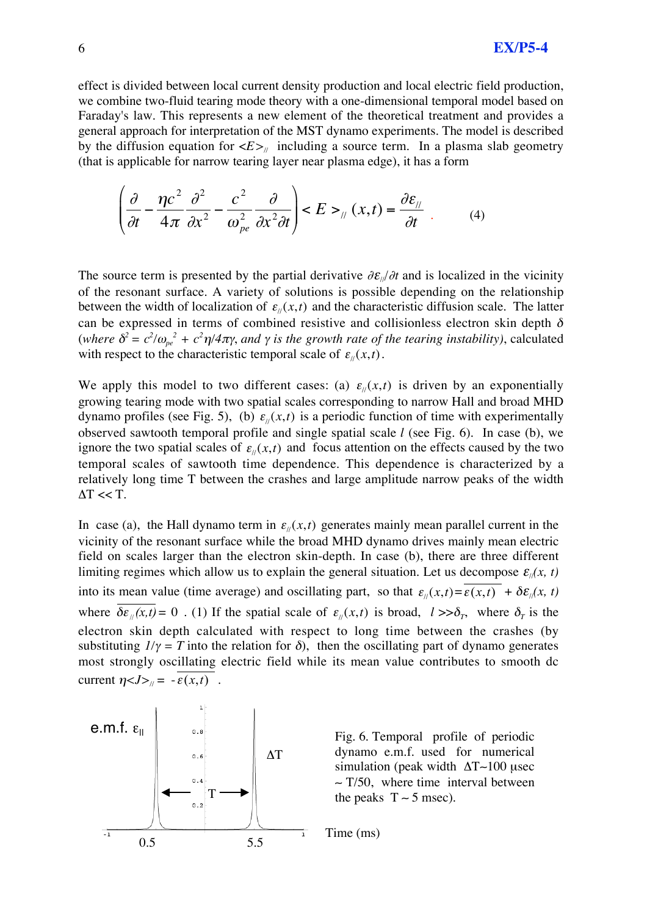effect is divided between local current density production and local electric field production, we combine two-fluid tearing mode theory with a one-dimensional temporal model based on Faraday's law. This represents a new element of the theoretical treatment and provides a general approach for interpretation of the MST dynamo experiments. The model is described by the diffusion equation for  $\langle E \rangle$  including a source term. In a plasma slab geometry (that is applicable for narrow tearing layer near plasma edge), it has a form

$$
\left(\frac{\partial}{\partial t} - \frac{\eta c^2}{4\pi} \frac{\partial^2}{\partial x^2} - \frac{c^2}{\omega_{pe}^2} \frac{\partial}{\partial x^2 \partial t}\right) < E >_{\text{II}} (x, t) = \frac{\partial \varepsilon_{\text{II}}}{\partial t} \tag{4}
$$

The source term is presented by the partial derivative  $\partial \mathcal{E}_{\nu}/\partial t$  and is localized in the vicinity of the resonant surface. A variety of solutions is possible depending on the relationship between the width of localization of  $\varepsilon_{\parallel}(x,t)$  and the characteristic diffusion scale. The latter ...<br>... can be expressed in terms of combined resistive and collisionless electron skin depth  $\delta$ (*where*  $\delta^2 = c^2/\omega_{pe}^2 + c^2\eta/4\pi\gamma$ , and  $\gamma$  is the growth rate of the tearing instability), calculated with respect to the characteristic temporal scale of  $\varepsilon_{ij}(x,t)$ .

dynamo profiles (see Fig. 5), (b)  $\varepsilon_{ij}(x,t)$  is a periodic function of time with experimentally We apply this model to two different cases: (a)  $\varepsilon_{\parallel}(x,t)$  is driven by an exponentially ignore the two spatial scales of  $\varepsilon_y(x,t)$  and focus attention on the effects caused by the two growing tearing mode with two spatial scales corresponding to narrow Hall and broad MHD empeak searce of sameout time appendence. This appendence is emaneterized by a relatively long time T between the crashes and large amplitude narrow peaks of the width observed sawtooth temporal profile and single spatial scale *l* (see Fig. 6). In case (b), we temporal scales of sawtooth time dependence. This dependence is characterized by a  $\Delta T \ll T$ .

In case (a), the Hall dynamo term in  $\varepsilon_{\parallel}(x,t)$  generates mainly mean parallel current in the vicinity of the resonant surface while the broad MHD dynamo drives mainly mean electric field on scales larger than the electron skin-depth. In case (b), there are three different limiting regimes which allow us to explain the general situation. Let us decompose  $\varepsilon_{\parallel}(x, t)$ into its mean value (time average) and oscillating part, so that  $\varepsilon_{ij}(x,t) = \varepsilon(x,t) + \delta \varepsilon_{ij}(x,t)$ substituting  $1/\gamma = T$  into the relation for  $\delta$ ), then the oscillating part of dynamo generates where  $\delta \varepsilon_{\ell}(x,t) = 0$ . (1) If the spatial scale of  $\varepsilon_{\ell}(x,t)$  is broad,  $l >> \delta_T$ , where  $\delta_T$  is the most strongly oscillating electric field while its mean value contributes to smooth dc electron skin depth calculated with respect to long time between the crashes (by current  $\eta < J>_{\text{in}} = -\overline{\varepsilon(x,t)}$ .



Fig. 6. Temporal profile of periodic dynamo e.m.f. used for numerical simulation (peak width  $\Delta T$ –100 µsec  $\sim$  T/50, where time interval between the peaks  $T \sim 5$  msec).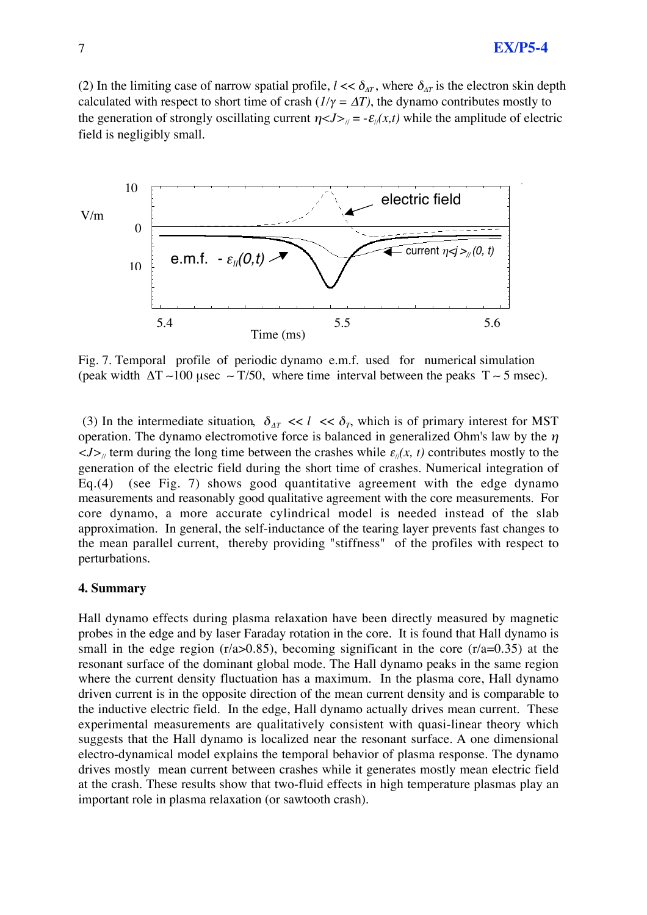# 7 **EX/P5-4**

(2) In the limiting case of narrow spatial profile,  $l \ll \delta_{AT}$ , where  $\delta_{AT}$  is the electron skin depth calculated with respect to short time of crash  $(I/\gamma = \Delta T)$ , the dynamo contributes mostly to the generation of strongly oscillating current  $\eta < J > \mu = -\mathcal{E}_{\mu}(x,t)$  while the amplitude of electric field is negligibly small.



Fig. 7. Temporal profile of periodic dynamo e.m.f. used for numerical simulation (peak width  $\Delta T \sim 100$  usec  $\sim T/50$ , where time interval between the peaks  $T \sim 5$  msec).

(3) In the intermediate situation,  $\delta_{AT} \ll l \ll \delta_T$ , which is of primary interest for MST operation. The dynamo electromotive force is balanced in generalized Ohm's law by the  $\eta$  $\langle J \rangle$  term during the long time between the crashes while  $\varepsilon_{\parallel}(x, t)$  contributes mostly to the generation of the electric field during the short time of crashes. Numerical integration of Eq.(4) (see Fig. 7) shows good quantitative agreement with the edge dynamo measurements and reasonably good qualitative agreement with the core measurements. For core dynamo, a more accurate cylindrical model is needed instead of the slab approximation. In general, the self-inductance of the tearing layer prevents fast changes to the mean parallel current, thereby providing "stiffness" of the profiles with respect to perturbations.

### **4. Summary**

Hall dynamo effects during plasma relaxation have been directly measured by magnetic probes in the edge and by laser Faraday rotation in the core. It is found that Hall dynamo is small in the edge region  $(r/a > 0.85)$ , becoming significant in the core  $(r/a = 0.35)$  at the resonant surface of the dominant global mode. The Hall dynamo peaks in the same region where the current density fluctuation has a maximum. In the plasma core, Hall dynamo driven current is in the opposite direction of the mean current density and is comparable to the inductive electric field. In the edge, Hall dynamo actually drives mean current. These experimental measurements are qualitatively consistent with quasi-linear theory which suggests that the Hall dynamo is localized near the resonant surface. A one dimensional electro-dynamical model explains the temporal behavior of plasma response. The dynamo drives mostly mean current between crashes while it generates mostly mean electric field at the crash. These results show that two-fluid effects in high temperature plasmas play an important role in plasma relaxation (or sawtooth crash).